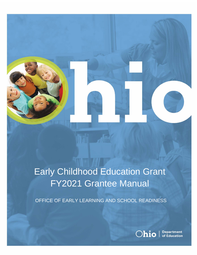

# Early Childhood Education Grant FY2021 Grantee Manual

OFFICE OF EARLY LEARNING AND SCHOOL READINESS

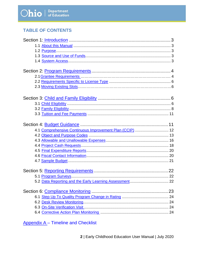# **TABLE OF CONTENTS**

| 4.1 Comprehensive Continuous Improvement Plan (CCIP)  12 |  |
|----------------------------------------------------------|--|
|                                                          |  |
|                                                          |  |
|                                                          |  |
|                                                          |  |
|                                                          |  |
|                                                          |  |
|                                                          |  |
|                                                          |  |
|                                                          |  |
|                                                          |  |
|                                                          |  |
|                                                          |  |
|                                                          |  |
|                                                          |  |
|                                                          |  |

Appendix A - Timeline and Checklist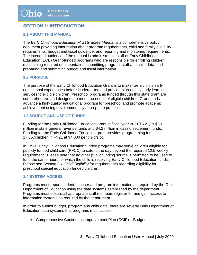# <span id="page-2-0"></span>**SECTION 1: INTRODUCTION**

#### <span id="page-2-1"></span>**1.1 ABOUT THIS MANUAL**

The *Early Childhood Education FY21Grantee Manual* is a comprehensive policy document providing information about program requirements, child and family eligibility requirements, budget and fiscal guidance, and reporting and monitoring requirements. The intended audience of the manual is administrative staff of Early Childhood Education (ECE) Grant-funded programs who are responsible for enrolling children, maintaining required documentation, submitting program, staff and child data, and preparing and submitting budget and fiscal information.

#### <span id="page-2-2"></span>**1.2 PURPOSE**

The purpose of the Early Childhood Education Grant is to maximize a child's early educational experiences before kindergarten and provide high-quality early learning services to eligible children. Preschool programs funded through this state grant are comprehensive and designed to meet the needs of eligible children. Grant funds advance a high-quality educational program for preschool and promote academic achievement using developmentally appropriate practices.

#### <span id="page-2-3"></span>**1.3 SOURCE AND USE OF FUNDS**

Funding for the Early Childhood Education Grant in fiscal year 2021(FY21) is \$68 million in state general revenue funds and \$4.2 million in casino settlement funds. Funding for the Early Childhood Education grant provides programming for 17,657children in FY21 at \$4,000 per child/slot.

In FY21, Early Childhood Education funded programs may serve children eligible for publicly funded child care (PFCC) to extend the day beyond the required 12.5 weekly requirement. Please note that no other public funding source is permitted to be used to fund the same hours for which the child is receiving Early Childhood Education funds. Please see *Section 3.1 Child Eligibility* for requirements regarding eligibility for preschool special education funded children.

#### <span id="page-2-4"></span>**1.4 SYSTEM ACCESS**

Programs must report student, teacher and program information as required by the Ohio Department of Education using the data systems established by the department. Programs must ensure all appropriate staff members register for and gain access to information systems as required by the department.

In order to submit budget, program and child data, there are several Ohio Department of Education data systems that programs must access:

• Comprehensive Continuous Improvement Plan (CCIP) – Budget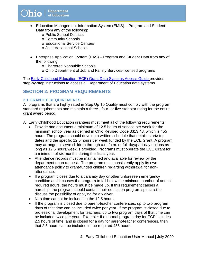- Education Management Information System (EMIS) Program and Student Data from any of the following:
	- o Public School Districts
	- o Community Schools
	- o Educational Service Centers
	- o Joint Vocational Schools
- Enterprise Application System (EAS) Program and Student Data from any of the following:
	- o Chartered Nonpublic Schools
	- o Ohio Department of Job and Family Services-licensed programs

The [Early Childhood Education \(ECE\) Grant Data Systems Access Guide](http://education.ohio.gov/getattachment/Topics/Early-Learning/Early-Childhood-Education-Grant/Early-Childhood-Education-Grants-for-Administrator/systemsaccessguide.docx.aspx) provides step-by-step instructions to access all Department of Education data systems.

## <span id="page-3-0"></span>**SECTION 2: PROGRAM REQUIREMENTS**

#### <span id="page-3-1"></span>**2.1 GRANTEE REQUIREMENTS**

All programs that are highly rated in Step Up To Quality must comply with the program standard requirements and maintain a three-, four- or five-star star rating for the entire grant award period.

All Early Childhood Education grantees must meet all of the following requirements:

- Provide and document a minimum of 12.5 hours of service per week for the minimum school year as defined in Ohio Revised Code 3313.48, which is 455 hours. The program should develop a written schedule that details start/stop dates and the specific 12.5 hours per week funded by the ECE Grant. A program may arrange to serve children through a.m./p.m. or full-day/part-day options as long as 12.5 hours/week is provided. Programs must operate the ECE Grant for a minimum of six months during the fiscal year.
- Attendance records must be maintained and available for review by the department upon request. The program must consistently apply its own attendance policy to grant-funded children regarding withdrawal for nonattendance.
- If a program closes due to a calamity day or other unforeseen emergency condition and it causes the program to fall below the minimum number of annual required hours, the hours must be made up. If this requirement causes a hardship, the program should contact their education program specialist to discuss the possibility of applying for a waiver.
- Nap time cannot be included in the 12.5 hours.
- If the program is closed due to parent-teacher conferences, up to two program days of that time can be included twice per year. If the program is closed due to professional development for teachers, up to two program days of that time can be included twice per year. Example: If a normal program day for ECE includes 2.5 hours of time, and is closed for a day for parent-teacher conferences, then that 2.5 hours can be included in the required 455 hours.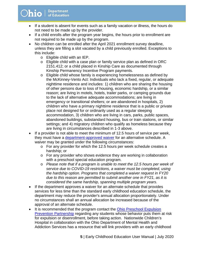- If a student is absent for events such as a family vacation or illness, the hours do not need to be made up by the provider.
- If a child enrolls after the program year begins, the hours prior to enrollment are not required to be made up by the program.
- No children can be enrolled after the April 2021 enrollment survey deadline, unless they are filling a slot vacated by a child previously enrolled. Exceptions to this include:
	- o Eligible child with an IEP.
	- o Eligible child with a case plan or family service plan as defined in ORC 2151.412; or a child placed in Kinship Care as documented through Kinship Permanency Incentive Program payments.
	- o Eligible child whose family is experiencing homelessness as defined by the McKinney-Vento Act: Individuals who lack a fixed, regular, or adequate nighttime residence and includes: 1) children who are sharing the housing of other persons due to loss of housing, economic hardship, or a similar reason; are living in motels, hotels, trailer parks, or camping grounds due to the lack of alternative adequate accommodations; are living in emergency or transitional shelters; or are abandoned in hospitals, 2) children who have a primary nighttime residence that is a public or private place not designed for or ordinarily used as a regular sleeping accommodation, 3) children who are living in cars, parks, public spaces, abandoned buildings, substandard housing, bus or train stations, or similar settings; and 4) migratory children who qualify as homeless because they are living in circumstances described in 1-3 above.
- If a provider is not able to meet the minimum of 12.5 hours of service per week, they must have a [department-approved waiver](https://education.ohio.gov/getattachment/Topics/Early-Learning/Early-Childhood-Education-Grant/Early-Childhood-Education-Grants-for-Administrator/Waiver-Request-Form-FY21-7.pdf.aspx?lang=en-US) for an alternative schedule. A waiver may be granted under the following circumstances:
	- o For any provider for which the 12.5 hours per week schedule creates a hardship; or
	- o For any provider who shows evidence they are working in collaboration with a preschool special education program.
	- o *Please note that if a program is unable to meet the 12.5 hours per week of service due to COVID-19 restrictions, a waiver must be completed, using the hardship option. Programs that completed a waiver request in FY20 due to this reason are permitted to submit another one in FY21, as it is considered the same hardship, spanning multiple program years.*
- If the department approves a waiver for an alternate schedule that provides services for less time than the standard early childhood education schedule, the department may reduce the provider's annual allocation proportionately. Under no circumstances shall an annual allocation be increased because of the approval of an alternate schedule.
- It is recommended that the program contact the Ohio Preschool Expulsion [Prevention Partnership](http://education.ohio.gov/getattachment/Topics/Early-Learning/Early-Childhood-Education-Grant/Early-Childhood-Education-Grants-for-Administrator/NACH-3154-Ohio-Preschool-Prevention-eblast-1.pdf.aspx?lang=en-US) regarding any students whose behavior puts them at risk for expulsion or disenrollment, before taking action. Nationwide Children's Hospital in collaboration with the Ohio Department of Mental Health and Addiction Services has a resource that will link providers with an early childhood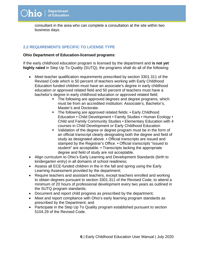consultant in the area who can complete a consultation at the site within two business days.

#### <span id="page-5-0"></span>**2.2 REQUIREMENTS SPECIFIC TO LICENSE TYPE**

#### **Ohio Department of Education-licensed programs**:

If the early childhood education program is licensed by the department and **is not yet highly rated** in Step Up To Quality (SUTQ), the programs shall do all of the following:

- Meet teacher qualification requirements prescribed by section 3301.311 of the Revised Code which is 50 percent of teachers working with Early Childhood Education funded children must have an associate's degree in early childhood education or approved related field and 50 percent of teachers must have a bachelor's degree in early childhood education or approved related field;
	- The following are approved degrees and degree programs, which must be from an accredited institution: Associate's, Bachelor's, Master's and Doctorate.
	- The following are approved related fields: Early Childhood Education • Child Development • Family Studies • Human Ecology • Child and Family Community Studies • Elementary Education with 4 courses in Child Development or Early Childhood Education
	- Validation of the degree or degree program must be in the form of an official transcript clearly designating both the degree and field of study as designated above. • Official transcripts are issued and stamped by the Registrar's Office. • Official transcripts "issued to student" are acceptable. • Transcripts lacking the appropriate degree and field of study are not acceptable.
- Align curriculum to Ohio's Early Learning and Development Standards (birth to kindergarten entry) in all domains of school readiness;
- Assess all ECE-funded children in the in the fall and spring using the Early Learning Assessment provided by the department;
- Require teachers and assistant teachers, except teachers enrolled and working to obtain degrees pursuant to section 3301.311 of the Revised Code, to attend a minimum of 20 hours of professional development every two years as outlined in the SUTQ program standards;
- Document and report child progress as prescribed by the department;
- Meet and report compliance with Ohio's early learning program standards as prescribed by the Department; and
- <span id="page-5-1"></span>• Participate in the Step Up To Quality program established pursuant to section 5104.29 of the Revised Code.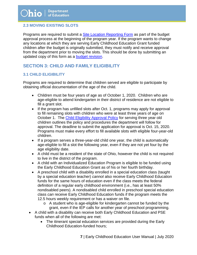#### **2.3 MOVING EXISTING SLOTS**

Programs are required to submit a [Site Location Reporting Form](http://education.ohio.gov/getattachment/Topics/Early-Learning/Early-Childhood-Education-Grant/Early-Childhood-Education-Grants-for-Administrator/Site-Location-Reporting-form.xlsx.aspx?lang=en-US) as part of the budget approval process at the beginning of the program year. If the program wants to change any locations at which they are serving Early Childhood Education Grant funded children after the budget is originally submitted, they must notify and receive approval from the department prior to moving the slots. This should be done by submitting an updated copy of this form as a [budget revision.](https://education.ohio.gov/getattachment/Topics/Early-Learning/Early-Childhood-Education-Grant/Early-Childhood-Education-Grants-for-Administrator/budgetrevisionguidance-FY20-2.pdf.aspx?lang=en-US)

# <span id="page-6-0"></span>**SECTION 3: CHILD AND FAMILY ELIGIBILITY**

#### <span id="page-6-1"></span>**3.1 CHILD ELIGIBILITY**

Programs are required to determine that children served are eligible to participate by obtaining official documentation of the age of the child.

- Children must be four years of age as of October 1, 2020. Children who are age-eligible to attend kindergarten in their district of residence are not eligible to fill a grant slot.
- If the program has unfilled slots after Oct. 1, programs may apply for approval to fill remaining slots with children who were at least three years of age on October 1. The [Child Eligibility Approval Policy](http://education.ohio.gov/getattachment/Topics/Early-Learning/Early-Childhood-Education-Grant/Early-Childhood-Education-Grants-for-Administrator/Child-Eligibility-Approval-Policy.pdf.aspx) for serving three year old children outlines the policy and procedures the department will follow for approval. The deadline to submit the application for approval is Oct. 15, 2020. Programs must make every effort to fill available slots with eligible four-year-old children.
- If a program serves a three-year-old child one year, the child is automatically age-eligible to fill a slot the following year, even if they are not yet four by the age eligibility date.
- A child must be a resident of the state of Ohio, however the child is not required to live in the district of the program.
- A child with an Individualized Education Program is eligible to be funded using the Early Childhood Education Grant as of his or her fourth birthday.
- A preschool child with a disability enrolled in a special education class (taught by a special education teacher) *cannot* also receive Early Childhood Education funds for the same hours of education even if the class meets the federal definition of a regular early childhood environment (i.e., has at least 50% nondisabled peers). A nondisabled child enrolled in preschool special education class *can* receive Early Childhood Education funds if the program meets the 12.5 hours weekly requirement or has a waiver on file.
	- o A student who is age-eligible for kindergarten cannot be funded by the grant, even if the IEP calls for another year of preschool programming.
- A child with a disability can receive both Early Childhood Education and PSE funds when all of the following are met:
	- The itinerant special education services are provided during the Early Childhood Education-funded hours;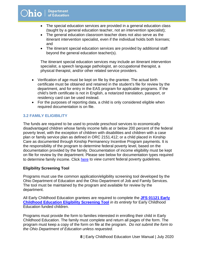- The special education services are provided in a general education class (taught by a general education teacher, not an intervention specialist);
- The general education classroom teacher does not also serve as the itinerant intervention specialist, even if the individual holds both licenses; and
- The itinerant special education services are provided by additional staff beyond the general education teacher(s).

The itinerant special education services may include an itinerant intervention specialist, a speech language pathologist, an occupational therapist, a physical therapist, and/or other related service providers.

- Verification of age must be kept on file by the grantee. The actual birth certificate must be obtained and retained in the student's file for review by the department, and for entry in the EAS program for applicable programs. If the child's birth certificate is not in English, a notarized translation, passport, or residency card can be used instead.
- For the purposes of reporting data, a child is only considered eligible when required documentation is on file.

#### <span id="page-7-0"></span>**3.2 FAMILY ELIGIBILITY**

The funds are required to be used to provide preschool services to economically disadvantaged children whose family income falls at or below 200 percent of the federal poverty level, with the exception of children with disabilities and children with a case plan or family service plan as defined in ORC 2151.412; or a child placed in Kinship Care as documented through Kinship Permanency Incentive Program payments. It is the responsibility of the program to determine federal poverty level, based on the documentation provided by the family. Documentation of income eligibility must be kept on file for review by the department. Please see below for documentation types required to determine family income. Click [here](http://education.ohio.gov/getattachment/Topics/Early-Learning/Early-Childhood-Education-Grant/Early-Childhood-Education-Grants-for-Administrator/Federal-Poverty-Guidelines.pdf.aspx?lang=en-US) to view current federal poverty guidelines.

#### **Eligibility Screening Tool**

Programs must use the common application/eligibility screening tool developed by the Ohio Department of Education and the Ohio Department of Job and Family Services. The tool must be maintained by the program and available for review by the department.

All Early Childhood Education grantees are required to complete the **[JFS 01121 Early](http://education.ohio.gov/getattachment/Topics/Early-Learning/Early-Childhood-Education-Grant/Early-Childhood-Education-Grants-for-Administrator/JFS-01121.pdf.aspx?lang=en-US)  [Childhood Education Eligibility Screening Tool](http://www.odjfs.state.oh.us/forms/num/JFS01121/pdf/)** *in its entirety* for Early Childhood Education funded children.

Programs must provide the form to families interested in enrolling their child in Early Childhood Education. The family must complete and return all pages of the form. The program must keep a copy of the form on file at the program. *Do not submit the form to the Ohio Department of Education unless requested.*

 **8** | Early Childhood Education User Manual | July 2020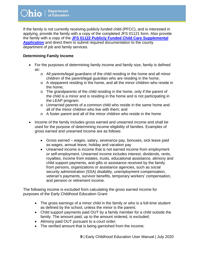If the family is not currently receiving publicly funded child (PFCC), and is interested in applying, provide the family with a copy of the completed JFS 01121 form. Also provide the family with a copy of the **[JFS 01122 Publicly Funded Child Care Supplemental](http://education.ohio.gov/getattachment/Topics/Early-Learning/Early-Childhood-Education-Grant/Early-Childhood-Education-Grants-for-Administrator/JFS-01122.pdf.aspx?lang=en-US)  [Application](http://education.ohio.gov/getattachment/Topics/Early-Learning/Early-Childhood-Education-Grant/Early-Childhood-Education-Grants-for-Administrator/JFS-01122.pdf.aspx?lang=en-US)** and direct them to submit required documentation to the county department of job and family services.

#### **Determining Family Income**

- For the purposes of determining family income and family size, family is defined as:
	- o All parents/legal guardians of the child residing in the home and all minor children of the parent/legal guardian who are residing in the home;
	- o A stepparent residing in the home, and all the minor children who reside in the home;
	- o The grandparents of the child residing in the home, only if the parent of the child is a minor and is residing in the home and is not participating in the LEAP program;
	- o Unmarried parents of a common child who reside in the same home and all of the minor children who live with them; and
	- o A foster parent and all of the minor children who reside in the home
- Income of the family includes gross earned and unearned income and shall be used for the purpose of determining income eligibility of families. Examples of gross earned and unearned income are as follows:
	- Gross earned wages, salary, severance pay, bonuses, sick leave paid as wages, annual leave, holiday and vacation pay
	- Unearned income is income that is not earned income from employment or self-employment. Unearned income includes interest, dividends, rents, royalties, income from estates, trusts, educational assistance, alimony and child support payments, and gifts or assistance received by the family from persons, organizations or assistance agencies, such as social security administration (SSA) disability, unemployment compensation, veteran's payments, survivor benefits, temporary workers' compensation, and pension or retirement income.

The following income is excluded from calculating the gross earned income for purposes of the Early Childhood Education Grant:

- The gross earnings of a minor child in the family or who is a full-time student as defined by the school, unless the minor is the parent;
- Child support payments paid OUT by a family member for a child outside the family. The amount paid, up to the amount ordered, is excluded;
- Alimony paid OUT pursuant to a court order;
- The verified amount that is being garnished from the income;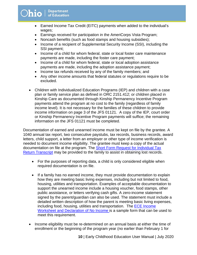- Earned Income Tax Credit (EITC) payments when added to the individual's wages;
- Earnings received for participation in the AmeriCorps Vista Program;
- Noncash benefits (such as food stamps and housing subsidies);
- Income of a recipient of Supplemental Security Income (SSI), including the SSI payment;
- Income of a child for whom federal, state or local foster care maintenance payments are made, including the foster care payment;
- Income of a child for whom federal, state or local adoption assistance payments are made, including the adoption assistance payment;
- Income tax refunds received by any of the family members; and
- Any other income amounts that federal statutes or regulations require to be excluded.
- Children with Individualized Education Programs (IEP) and children with a case plan or family service plan as defined in ORC 2151.412; or children placed in Kinship Care as documented through Kinship Permanency Incentive Program payments attend the program at no cost to the family (regardless of family income level). It is not necessary for the families of these children to provide income information on page 3 of the JFS 01121. A copy of the IEP, court order or Kinship Permanency Incentive Program payments will suffice; the remaining information on the JFS 01121 must be completed.

Documentation of earned and unearned income must be kept on file by the grantee. A 1040 annual tax report, two consecutive paystubs, tax records, business records, award letters, child support, a letter from an employer or other type of income verification is needed to document income eligibility. The grantee must keep a copy of the actual documentation on file at the program. The [Short Form Request for Individual Tax](https://www.irs.gov/pub/irs-pdf/f4506tez.pdf)  [Return Transcript](https://www.irs.gov/pub/irs-pdf/f4506tez.pdf) may be provided to the family to assist in obtaining lost records.

- For the purposes of reporting data, a child is only considered eligible when required documentation is on file.
- If a family has no earned income, they must provide documentation to explain how they are meeting basic living expenses, including but not limited to food, housing, utilities and transportation. Examples of acceptable documentation to support the unearned income include a housing voucher, food stamps, other public assistance, or letters verifying cash gifts. A zero-income statement signed by the parent/guardian can also be used. The statement must include a detailed written description of how the parent is meeting basic living expenses, including food, housing, utilities and transportation. The [ECE Income](http://education.ohio.gov/getattachment/Topics/Early-Learning/Early-Childhood-Education-Grant/Early-Childhood-Education-Grants-for-Administrator/Income-Eligiblity-Worksheet-final-3.pdf.aspx?lang=en-US)  [Worksheet and Declaration of No Income](http://education.ohio.gov/getattachment/Topics/Early-Learning/Early-Childhood-Education-Grant/Early-Childhood-Education-Grants-for-Administrator/Income-Eligiblity-Worksheet-final-3.pdf.aspx?lang=en-US) is a sample form that can be used to meet this requirement.
- Income eligibility must be re-determined on an annual basis at either the time of enrollment or the beginning of the program year (no earlier than February 1 for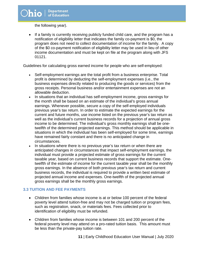the following year).

• If a family is currently receiving publicly funded child care, and the program has a notification of eligibility letter that indicates the family co-payment is \$0, the program does not need to collect documentation of income for the family. A copy of the \$0 co-payment notification of eligibility letter may be used in lieu of other income documentation and must be kept on file at the program along with JFS 01121.

Guidelines for calculating gross earned income for people who are self-employed:

- Self-employment earnings are the total profit from a business enterprise. Total profit is determined by deducting the self-employment expenses (i.e., the business expenses directly related to producing the goods or services) from the gross receipts. Personal business and/or entertainment expenses are not an allowable deduction.
- In situations that an individual has self-employment income, gross earnings for the month shall be based on an estimate of the individual's gross annual earnings. Whenever possible, secure a copy of the self-employed individuals previous year's tax return. In order to estimate the expected earnings for the current and future months, use income listed on the previous year's tax return as well as the individual's current business records for a projection of annual gross income to be determined. The individual's gross monthly earnings shall be onetwelfth of the determined projected earnings. This method should be applicable in situations in which the individual has been self-employed for some time, earnings have remained fairly constant and there is no anticipated change in circumstances.
- In situations where there is no previous year's tax return or when there are anticipated changes in circumstances that impact self-employment earnings, the individual must provide a projected estimate of gross earnings for the current taxable year, based on current business records that support the estimate. Onetwelfth of the estimate of income for the current taxable year shall be the monthly gross earnings. In the absence of both previous year's tax return and current business records, the individual is required to provide a written best estimate of projected annual income and expenses. One-twelfth of the projected annual gross earnings shall be the monthly gross earnings.

#### <span id="page-10-0"></span>**3.3 TUITION AND FEE PAYMENTS**

- Children from families whose income is at or below 100 percent of the federal poverty level attend tuition-free and may not be charged tuition or program fees, such as registration, snack, or materials fees. Fees collected prior to identification of eligibility must be refunded.
- Children from families whose income is between 101 and 200 percent of the federal poverty level may attend on a pro-rated tuition basis. This amount must be less than the private-pay tuition rate.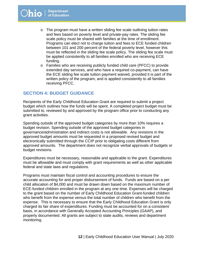- o The program must have a written sliding fee scale outlining tuition rates and fees based on poverty level and private-pay rates. The sliding fee scale policy must be shared with families at the time of enrollment. Programs can elect not to charge tuition and fees to ECE funded children between 101 and 200 percent of the federal poverty level, however this must be reflected in the sliding fee scale policy. The sliding fee scale must be applied consistently to all families enrolled who are receiving ECE funding.
- o Families who are receiving publicly funded child care (PFCC) to provide extended day services, and who have a required co-payment, can have the ECE sliding fee scale tuition payment waived, provided it is part of the written policy of the program, and is applied consistently to all families receiving PFCC.

#### <span id="page-11-0"></span>**SECTION 4: BUDGET GUIDANCE**

Recipients of the Early Childhood Education Grant are required to submit a project budget which outlines how the funds will be spent. A completed project budget must be submitted to, reviewed by and approved by the program office prior to conducting any grant activities.

Spending outside of the approved budget categories by more than 10% requires a budget revision. Spending outside of the approved budget categories in governance/administration and indirect costs is not allowable. Any revisions in the approved budget amounts must be requested in a proposed revised budget and electronically submitted through the CCIP prior to obligating costs different from approved amounts. The department does not recognize verbal approvals of budgets or budget revisions.

Expenditures must be necessary, reasonable and applicable to the grant. Expenditures must be allowable and must comply with grant requirements as well as other applicable federal and state laws and regulations.

Programs must maintain fiscal control and accounting procedures to ensure the accurate accounting for and proper disbursement of funds. Funds are based on a per child allocation of \$4,000 and must be drawn down based on the maximum number of ECE-funded children enrolled in the program at any one time. Expenses will be charged to the grant based on the number of Early Childhood Education Grant-funded children who benefit from the expense versus the total number of children who benefit from the expense. This is necessary to ensure that the Early Childhood Education Grant is only charged its fair share of expenditures. Funding must be accounted for on a consistent basis, in accordance with Generally Accepted Accounting Principles (GAAP), and properly documented. All grants are subject to state audits, reviews and department monitoring.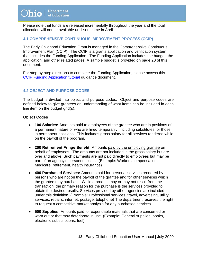Please note that funds are released incrementally throughout the year and the total allocation will not be available until sometime in April.

#### <span id="page-12-0"></span>**4.1 COMPREHENSIVE CONTINUOUS IMPROVEMENT PROCESS (CCIP)**

The Early Childhood Education Grant is managed in the Comprehensive Continuous Improvement Plan (CCIP). The CCIP is a grants application and verification system that includes the Funding Application. The Funding Application includes the budget, the application, and other related pages. A sample budget is provided on page 20 of this document.

For step-by-step directions to complete the Funding Application, please access this [CCIP Funding Application tutorial](https://education.ohio.gov/getattachment/Topics/Early-Learning/Early-Childhood-Education-Grant/Early-Childhood-Education-Grants-for-Administrator/CCIPfundingapplicationFY21-3.pdf.aspx?lang=en-US) guidance document.

### <span id="page-12-1"></span>**4.2 OBJECT AND PURPOSE CODES**

The budget is divided into object and purpose codes. Object and purpose codes are defined below to give grantees an understanding of what items can be included in each line item on the budget grid(s).

#### **Object Codes**

- **100 Salaries:** Amounts paid to employees of the grantee who are in positions of a permanent nature or who are hired temporarily, including substitutes for those in permanent positions. This includes gross salary for all services rendered while on the payroll of the program.
- **200 Retirement Fringe Benefit:** Amounts paid by the employing grantee on behalf of employees. The amounts are not included in the gross salary but are over and above. Such payments are not paid directly to employees but may be part of an agency's personnel costs. (Example: Workers compensation, Medicare, retirement, health insurance)
- **400 Purchased Services:** Amounts paid for personal services rendered by persons who are not on the payroll of the grantee and for other services which the grantee may purchase. While a product may or may not result from the transaction, the primary reason for the purchase is the services provided to obtain the desired results. Services provided by other agencies are included under this definition. (Example: Professional services, travel, advertising, utility services, repairs, internet, postage, telephone) The department reserves the right to request a competitive market analysis for any purchased services.
- **500 Supplies:** Amounts paid for expendable materials that are consumed or worn out or that may deteriorate in use. (Example: General supplies, books, electronic subscriptions, fuel)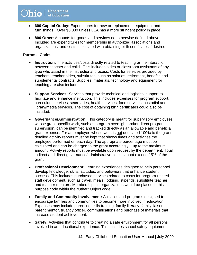- **600 Capital Outlay:** Expenditures for new or replacement equipment and furnishings. (Over \$5,000 unless LEA has a more stringent policy in place)
- **800 Other:** Amounts for goods and services not otherwise defined above. Included are expenditures for membership in authorized associations and organizations, and costs associated with obtaining birth certificates if desired.

#### **Purpose Codes**

- **Instruction:** The activities/costs directly related to teaching or the interaction between teacher and child. This includes aides or classroom assistants of any type who assist in the instructional process. Costs for services provided by teachers, teacher aides, substitutes, such as salaries, retirement, benefits and supplemental contracts. Supplies, materials, technology and equipment for teaching are also included.
- **Support Services:** Services that provide technical and logistical support to facilitate and enhance instruction. This includes expenses for program support, curriculum services, secretaries, health services, food services, custodial and library/media services. The cost of obtaining birth certificates could also be included.
- **Governance/Administration:** This category is meant for supervisory employees whose grant specific work, such as program oversight and/or direct program supervision, can be identified and tracked directly as an allowable and beneficial grant expense. For an employee whose work is not dedicated 100% to the grant, detailed activity reports must be kept that shows times and activities the employee performed on each day. The appropriate percentage must be calculated and can be charged to the grant accordingly – up to the maximum amount. Activity reports must be available upon request by the department. Total indirect and direct governance/administrative costs cannot exceed 15% of the grant.
- **Professional Development:** Learning experiences designed to help personnel develop knowledge, skills, attitudes, and behaviors that enhance student success. This includes purchased services related to costs for program-related staff development, such as travel, meals, lodging, stipends, substitute teacher and teacher mentors. Memberships in organizations would be placed in this purpose code within the "Other" Object code.
- **Family and Community Involvement:** Activities and programs designed to encourage families and communities to become more involved in education. Expenses may include parenting skills training, family literacy, family liaison, parent mentor, truancy officer, communications and purchase of materials that increase student achievement.
- **Safety:** Activities that contribute to creating a safe environment for all persons involved in an educational experience. This includes school safety equipment.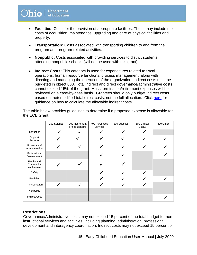- **Facilities:** Costs for the provision of appropriate facilities. These may include the costs of acquisition, maintenance, upgrading and care of physical facilities and property.
- **Transportation:** Costs associated with transporting children to and from the program and program-related activities.
- **Nonpublic:** Costs associated with providing services to district students attending nonpublic schools (will not be used with this grant).
- **Indirect Costs:** This category is used for expenditures related to fiscal operations, human resource functions, process management, along with directing and managing the operation of the organization. Indirect costs must be budgeted in object 800. Total indirect and direct governance/administrative costs cannot exceed 15% of the grant. Mass termination/retirement expenses will be reviewed on a case-by-case basis. Grantees should only budget indirect costs based on their modified total direct costs; not the full allocation. Click [here](http://education.ohio.gov/getattachment/Topics/Finance-and-Funding/Grants/Indirect-Recovery-Costs/Budgeting-ICRs.pdf.aspx?lang=en-US) for guidance on how to calculate the allowable indirect costs.

The table below provides guidelines to determine if a proposed expense is allowable for the ECE Grant.

|                                        | 100 Salaries | 200 Retirement<br><b>Fringe Benefits</b> | 400 Purchased<br>Services | 500 Supplies | 600 Capital<br>Outlay | 800 Other |
|----------------------------------------|--------------|------------------------------------------|---------------------------|--------------|-----------------------|-----------|
| Instruction                            |              |                                          |                           |              |                       |           |
| Support<br>Services                    |              |                                          |                           |              |                       |           |
| Governance/<br>Administration          |              |                                          |                           |              |                       |           |
| Professional<br>Development            |              |                                          |                           |              |                       |           |
| Family and<br>Community<br>Involvement |              |                                          |                           |              |                       |           |
| Safety                                 |              |                                          |                           |              |                       |           |
| <b>Facilities</b>                      |              |                                          |                           |              |                       |           |
| Transportation                         |              |                                          |                           |              |                       |           |
| Nonpublic                              |              |                                          |                           |              |                       |           |
| <b>Indirect Cost</b>                   |              |                                          |                           |              |                       |           |

#### **Restrictions**

Governance/Administrative costs may not exceed 15 percent of the total budget for noninstructional services and activities; including planning, administration, professional development and interagency coordination. Indirect costs may not exceed 15 percent of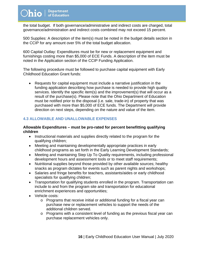the total budget. If both governance/administrative and indirect costs are charged, total governance/administration and indirect costs combined may not exceed 15 percent.

500 Supplies: A description of the item(s) must be noted in the budget details section in the CCIP for any amount over 5% of the total budget allocation.

600 Capital Outlay: Expenditures must be for new or replacement equipment and furnishings costing more than \$5,000 of ECE Funds. A description of the item must be noted in the Application section of the CCIP Funding Application.

The following procedure must be followed to purchase capital equipment with Early Childhood Education Grant funds:

• Requests for capital equipment must include a narrative justification in the funding application describing how purchase is needed to provide high quality services. Identify the specific item(s) and the improvement(s) that will occur as a result of the purchase(s). Please note that the Ohio Department of Education must be notified prior to the disposal (i.e. sale, trade-in) of property that was purchased with more than \$5,000 of ECE funds. The Department will provide direction on next steps, depending on the nature and value of the item.

#### <span id="page-15-0"></span>**4.3 ALLOWABLE AND UNALLOWABLE EXPENSES**

#### **Allowable Expenditures – must be pro-rated for percent benefitting qualifying children**

- Instructional materials and supplies directly related to the program for the qualifying children;
- Meeting and maintaining developmentally appropriate practices in early childhood programs as set forth in the Early Learning Development Standards;
- Meeting and maintaining Step Up To Quality requirements, including professional development hours and assessment tools or to meet staff requirements;
- Nutritional supplies beyond those provided by other available sources; healthy snacks as program dictates for events such as parent nights and workshops;
- Salaries and fringe benefits for teachers, assistants/aides or early childhood specialists for qualifying children;
- Transportation for qualifying students enrolled in the program. Transportation can include to and from the program site and transportation for educational enrichment experiences and opportunities;
- Vehicle costs:
	- o Programs that receive initial or additional funding for a fiscal year can purchase new or replacement vehicles to support the needs of the additional children served.
	- o Programs with a consistent level of funding as the previous fiscal year can purchase replacement vehicles only.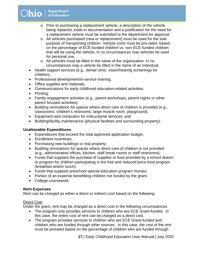# $O$ hio  $|$  Department

- o Prior to purchasing a replacement vehicle, a description of the vehicle being replaced, trade-in documentation and a justification for the need for a replacement vehicle must be submitted to the department for approval.
- o All vehicles purchased (new or replacement) must be used for the sole purpose of transporting children. Vehicle costs must be pro-rated, based on the percentage of ECE-funded children vs. non ECE-funded children that will be using the vehicle. In no circumstances may vehicles be used for personal use.
- o All vehicles must be titled in the name of the organization. In no circumstances may a vehicle be titled in the name of an individual.
- Health support services (e.g., dental clinic, vision/hearing screenings for children);
- Professional development/in-service training;
- Office supplies and materials;
- Communications for early childhood education-related activities;
- Printing;
- Family engagement activities (e.g., parent workshops, parent nights or other parent focused activities);
- Building renovations for spaces where direct care of children is provided (e.g., classrooms, children's restrooms, large muscle room, playground);
- Equipment and computers for instructional services; and
- Building/facility maintenance (physical facilities and surrounding property).

#### **Unallowable Expenditures**

- Expenditures that exceed the total approved application budget;
- Enrollment incentives;
- Purchasing new buildings or real property;
- Building renovations for spaces where direct care of children is not provided (e.g., administrative offices, kitchen, staff break rooms or staff restrooms);
- Funds that supplant the purchase of supplies or food provided by a school district or program for children participating in the free and reduced-price food program (breakfast and/or lunch);
- Funds that supplant preschool special education program monies;
- Portion of an expense benefitting children not funded by the grant;
- College coursework.

#### **Rent Expenses**

Rent can be charged as either a direct or indirect cost based on the following:

#### Direct Cost

Under the grant, rent may be charged as a direct cost in the following circumstances:

- The program only provides services to children who are ECE Grant-funded. In this case, the entire cost of rent can be charged as a direct cost.
- The program provides services to children who are ECE Grant-funded and children who are funded through other sources. In this case, the cost of the rent must be prorated based on the percentage of children who are funded through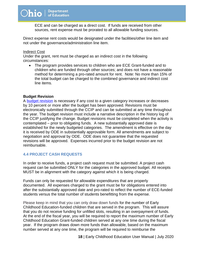ECE and can be charged as a direct cost. If funds are received from other sources, rent expense must be prorated to all allowable funding sources.

Direct expense rent costs would be designated under the facilities/other line item and not under the governance/administration line item.

#### Indirect Cost

Under the grant, rent must be charged as an indirect cost in the following circumstances:

• The program provides services to children who are ECE Grant-funded and to children who are funded through other sources; and does not have a reasonable method for determining a pro-rated amount for rent. Note: No more than 15% of the total budget can be charged to the combined governance and indirect cost line items.

#### **Budget Revision**

A [budget revision](https://education.ohio.gov/getattachment/Topics/Early-Learning/Early-Childhood-Education-Grant/Early-Childhood-Education-Grants-for-Administrator/budgetrevisionguidance-FY20-2.pdf.aspx?lang=en-US) is necessary if any cost to a given category increases or decreases by 10 percent or more after the budget has been approved. Revisions must be electronically submitted through the CCIP and can be submitted at any time throughout the year. The budget revision must include a narrative description in the history log of the CCIP justifying the change. Budget revisions must be completed when the activity is contemplated – prior to obligating funds. A new substantially approved date is established for the newly budgeted categories. The amendment is effective on the day it is received by ODE in substantially approvable form. All amendments are subject to negotiation and approval by ODE. ODE does not guarantee that the requested revisions will be approved. Expenses incurred prior to the budget revision are not reimbursable.

#### <span id="page-17-0"></span>**4.4 PROJECT CASH REQUESTS**

In order to receive funds, a project cash request must be submitted. A project cash request can be submitted ONLY for the categories in the approved budget. All receipts MUST be in alignment with the category against which it is being charged.

Funds can only be requested for allowable expenditures that are properly documented. All expenses charged to the grant must be for obligations entered into after the substantially approved date and pro-rated to reflect the number of ECE-funded students versus the total number of students benefitting from the expense.

Please keep in mind that you can only draw down funds for the number of Early Childhood Education-funded children that are served in the program. This will assure that you do not receive funding for unfilled slots, resulting in an overpayment of funds. At the end of the fiscal year, you will be required to report the maximum number of Early Childhood Education Grant-funded children served at any one time during the fiscal year. If the program draws down more funds than allowable, based on the maximum number served at any one time, the program will be required to reimburse the

 **18** | Early Childhood Education User Manual | July 2020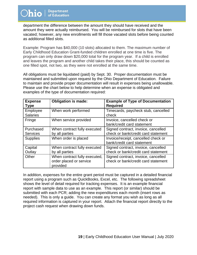department the difference between the amount they should have received and the amount they were actually reimbursed. You will be reimbursed for slots that have been vacated; however, any new enrollments will fill those vacated slots before being counted as additional filled slots.

Example: Program has \$40,000 (10 slots) allocated to them. The maximum number of Early Childhood Education Grant-funded children enrolled at one time is five. The program can only draw down \$20,000 total for the program year. If a child is enrolled and leaves the program and another child takes their place, this should be counted as one filled spot, not two, as they were not enrolled at the same time.

All obligations must be liquidated (paid) by Sept. 30. Proper documentation must be maintained and submitted upon request by the Ohio Department of Education. Failure to maintain and provide proper documentation will result in expenses being unallowable. Please use the chart below to help determine when an expense is obligated and examples of the type of documentation required:

| <b>Expense</b><br><b>Type</b> | <b>Obligation is made:</b>                                           | <b>Example of Type of Documentation</b><br><b>Required</b>                 |
|-------------------------------|----------------------------------------------------------------------|----------------------------------------------------------------------------|
| Employee<br><b>Salaries</b>   | When work performed                                                  | Timecards, paycheck stub, cancelled<br>check                               |
| Fringe                        | When service provided                                                | Invoice, cancelled check or<br>bank/credit card statement                  |
| Purchased<br><b>Services</b>  | When contract fully executed<br>by all parties                       | Signed contract, invoice, cancelled<br>check or bank/credit card statement |
| <b>Supplies</b>               | When order is placed                                                 | Invoice/receipt, cancelled check or<br>bank/credit card statement          |
| Capital<br>Outlay             | When contract fully executed<br>by all parties                       | Signed contract, invoice, cancelled<br>check or bank/credit card statement |
| Other                         | When contract fully executed,<br>order placed or service<br>provided | Signed contract, invoice, cancelled<br>check or bank/credit card statement |

In addition, expenses for the entire grant period must be captured in a detailed financial report using a program such as QuickBooks, Excel, etc. The following spreadsheet shows the level of detail required for tracking expenses. It is an example financial report with sample data to use as an example. This report (or similar) should be submitted with each PCR; adding the new expenditures each month (insert rows as needed). This is only a guide. You can create any format you wish as long as all required information is captured in your report. Attach the financial report directly to the project cash request when drawing down funds.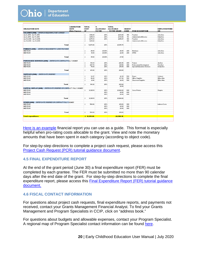|                                                                    | <b>LIQUIDATION</b> | <b>TOTAL</b>    | ×                | <b>TOTAL</b>     |               |                                   |                       |
|--------------------------------------------------------------------|--------------------|-----------------|------------------|------------------|---------------|-----------------------------------|-----------------------|
| <b>OBLIGATION DATE</b>                                             | <b>DATE</b>        | <b>COST</b>     | <b>ALLOCABLE</b> | <b>ALLOCABLE</b> | <b>OBJECT</b> |                                   | <b>EMPLOYEE/VEND</b>  |
|                                                                    | Date Expense       | OF              | <b>TO THE</b>    | TO THE GRANT     | CODE          | <b>ITEM DESCRIPTION</b>           | OR                    |
| SALARIES (100) - ENTER DATE(S) EMPLOYEE WORKED                     |                    |                 |                  |                  |               |                                   |                       |
| Jan 4, 2016 - Jan 17, 2016                                         |                    | \$<br>1,152.00  | 20%              | \$230.40         | 100           | Teacher                           | John Doe              |
| Jan 4, 2016 - Jan 17, 2016                                         |                    | \$<br>1,650.31  | 20%              | \$330.06         | 113           | <b>Administrative/Director</b>    | Sally Doe             |
| Jan 18, 2016 - Jan 31, 2016                                        |                    | \$<br>1,275.33  | 20%              | \$255.07         | 100           | Teacher                           | John Doe              |
| Jan 18, 2016 - Jan 31, 2016                                        |                    | \$<br>1,401.28  |                  |                  | 100           | <b>Administrative/Director</b>    | Sally Doe             |
|                                                                    |                    |                 |                  |                  |               |                                   |                       |
| Total                                                              |                    | \$.<br>5,478.92 | 20%              | \$1,035.78       |               |                                   |                       |
|                                                                    |                    |                 |                  |                  |               |                                   |                       |
| <b>FRINGES [200] - ENTER DATE/S) BENEFITS WERE PROWDED</b>         |                    |                 |                  |                  |               |                                   |                       |
| <b>N'DYYEAR</b>                                                    |                    | \$<br>25.00     | 20.00%           | \$5.00           | 200           | Medicare                          | John Doe              |
| <b>MDYEAR</b>                                                      |                    | \$.<br>10.00    | 20.00%           | \$2.00           | 200           | <b>STRS</b>                       | John Doe              |
|                                                                    |                    |                 |                  |                  |               |                                   |                       |
| Total                                                              |                    | \$<br>35.00     | 20.00%           | \$7.00           |               |                                   |                       |
|                                                                    |                    |                 |                  |                  |               |                                   |                       |
| PURCHASED SERVICES (400) - ENTER DATE CONTRACT FULLY SIGNED        |                    |                 |                  |                  |               |                                   |                       |
| <b>N/D/YEAR</b>                                                    |                    | 130.30<br>\$    | 20%              | \$26.06          | 400           | Trainer                           | Jim Doe               |
| <b>N'DYYEAR</b>                                                    |                    | 207.72<br>\$    | 20%              | \$41.54          | 400           | Professional Development          | <b>Tina Doe</b>       |
| <b>MD/YEAR</b>                                                     |                    | \$<br>75.00     | 20%              | \$15.00          | 400           | <b>Special Education Services</b> | Cindy Doe             |
|                                                                    |                    |                 |                  |                  |               |                                   |                       |
| Total                                                              |                    | ŝ.<br>413.02    | 20%              | \$82.60          |               |                                   |                       |
|                                                                    |                    |                 |                  |                  |               |                                   |                       |
| SUPPLIES (500) - ENTER DATE ORDERED                                |                    |                 |                  |                  |               |                                   |                       |
| <b>N'D'YEAR</b>                                                    |                    | \$<br>34.97     | 20%              | \$6.99           | 500           | Paper                             | Walmart               |
| <b>MDYEAR</b>                                                      |                    | \$<br>86.80     | 20%              | \$17.36          | 500           | Office Supplies                   | Office Max            |
| <b>MDYEAR</b>                                                      |                    | \$<br>21.45     | 20%              | \$4.29           | 500           | Classroom Supplies                | Office Max            |
|                                                                    |                    |                 |                  |                  |               |                                   |                       |
| Total                                                              |                    | 143.22<br>\$    | 20%              | \$28.64          |               |                                   |                       |
|                                                                    |                    |                 |                  | \$0.00           |               |                                   |                       |
| CAPITAL OUTLAY (600) - ENTER DATE ORDERED OR CONTRACT FULLY SIGNED |                    |                 |                  |                  |               |                                   |                       |
| <b>N/D/YEAR</b>                                                    |                    | 6,320.10<br>\$. | 20%              | \$1,264.02       | 600           | Xerox Printer                     | Staples               |
| <b>MDYEAR</b>                                                      |                    |                 | 20%              | \$0.00           | 600           |                                   |                       |
| <b>N'DYYEAR</b>                                                    |                    |                 | 20%              | \$0.00           | 600           |                                   |                       |
|                                                                    |                    |                 |                  |                  |               |                                   |                       |
| Total                                                              |                    | \$<br>6,320.10  | 20%              | \$1,264.02       |               |                                   |                       |
|                                                                    |                    |                 |                  |                  |               |                                   |                       |
| OTHER [800] - ENTER DATE ORDERED OR CONTRACT FULLY SIGNED          |                    |                 |                  |                  |               |                                   |                       |
| <b>N'DIYEAR</b>                                                    |                    | 560.82<br>\$    | 20%              | \$112.16         | 800           |                                   | <b>Indirect Costs</b> |
| <b>N/D/YEAR</b>                                                    |                    |                 | 20%              | \$0.00           | 800           |                                   |                       |
| <b>N'DYYEAR</b>                                                    |                    |                 | 20%              | \$0.00           | 800           |                                   |                       |
|                                                                    |                    |                 |                  |                  |               |                                   |                       |
| Total                                                              |                    | 560.82          | 20%              | \$112.16         |               |                                   |                       |
|                                                                    |                    | \$              |                  |                  |               |                                   |                       |
|                                                                    |                    |                 |                  |                  |               |                                   |                       |
| <b>Total expenditures</b>                                          |                    | \$12,351.08     |                  | \$4,300.18       |               |                                   |                       |
|                                                                    |                    |                 |                  |                  |               |                                   |                       |
|                                                                    |                    |                 |                  |                  |               |                                   |                       |

[Here is an example](http://education.ohio.gov/getattachment/Topics/Early-Learning/Early-Childhood-Education-Grant/Early-Childhood-Education-Grants-for-Administrator/Sample-Financial-Data-Spreadsheet2wPercentages.xlsx.aspx) financial report you can use as a guide. This format is especially helpful when pro-rating costs allocable to the grant. View and note the monetary amounts that have been spent in each category (according to object code).

For step-by-step directions to complete a project cash request, please access this [Project Cash Request \(PCR\) tutorial guidance document.](http://education.ohio.gov/getattachment/Topics/Early-Learning/Early-Childhood-Education-Grant/Early-Childhood-Education-Grants-for-Administrator/pcrguidanceforccip.pdf.aspx)

#### <span id="page-19-0"></span>**4.5 FINAL EXPENDITURE REPORT**

At the end of the grant period (June 30) a final expenditure report (FER) must be completed by each grantee. The FER must be submitted no more than 90 calendar days after the end date of the grant. For step-by-step directions to complete the final expenditure report, please access this [Final Expenditure Report \(FER\)](https://education.ohio.gov/getattachment/Topics/Early-Learning/Early-Childhood-Education-Grant/Early-Childhood-Education-Grants-for-Administrator/pcrguidanceforccip-FY20-2.pdf.aspx?lang=en-US) tutorial guidance [document.](https://education.ohio.gov/getattachment/Topics/Early-Learning/Early-Childhood-Education-Grant/Early-Childhood-Education-Grants-for-Administrator/pcrguidanceforccip-FY20-2.pdf.aspx?lang=en-US)

#### <span id="page-19-1"></span>**4.6 FISCAL CONTACT INFORMATION**

For questions about project cash requests, final expenditure reports, and payments not received, contact your Grants Management Financial Analyst. To find your Grants Management and Program Specialists in CCIP, click on "address book."

For questions about budgets and allowable expenses, contact your Program Specialist. A regional map of Program Specialist contact information can be found [here.](http://education.ohio.gov/getattachment/Topics/Early-Learning/Early-Childhood-Education-Grant/Contact-Information/Early-Childhood-Education-Contacts-by-Region.pdf.aspx)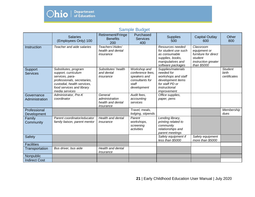

# Sample Budget

<span id="page-20-0"></span>

|                              | <b>Salaries</b><br>(Employees Only) 100                                                                                                                                     | Retirement/Fringe<br><b>Benefits</b><br>200                 | Purchased<br><b>Services</b><br>400                                                         | <b>Supplies</b><br>500                                                                                                          | <b>Capital Outlay</b><br>600                                                                       | Other<br>800                            |
|------------------------------|-----------------------------------------------------------------------------------------------------------------------------------------------------------------------------|-------------------------------------------------------------|---------------------------------------------------------------------------------------------|---------------------------------------------------------------------------------------------------------------------------------|----------------------------------------------------------------------------------------------------|-----------------------------------------|
| Instruction                  | Teacher and aide salaries                                                                                                                                                   | Teachers'/Aides'<br>health and dental<br>insurance          |                                                                                             | Resources needed<br>for student use such<br>as consumable<br>supplies, books,<br>manipulatives and<br>software packages         | Classroom<br>equipment or<br>furniture for direct<br>student<br>instruction greater<br>than \$5000 |                                         |
| Support<br><b>Services</b>   | Substitutes, program<br>support, curriculum<br>services, para-<br>professionals, secretaries,<br>custodial, health services,<br>food services and library<br>media services | Substitutes' health<br>and dental<br>insurance              | Workshop and<br>conference fees.<br>speakers and<br>consultants for<br>staff<br>development | Supplies/materials<br>needed for<br>workshops and staff<br>development items<br>for staff PD or<br>instructional<br>improvement |                                                                                                    | <b>Student</b><br>birth<br>certificates |
| Governance<br>Administration | Administrator, Pre-K<br>coordinator                                                                                                                                         | General<br>administration<br>health and dental<br>insurance | Audit fees,<br>accounting<br>services                                                       | Office supplies,<br>paper, pens                                                                                                 |                                                                                                    |                                         |
| Professional<br>Development  |                                                                                                                                                                             |                                                             | Travel, meals,<br>lodging, stipends                                                         |                                                                                                                                 |                                                                                                    | Membership<br>dues                      |
| Family<br>Community          | Parent coordinator/educator<br>family liaison, parent mentor                                                                                                                | <b>Health and dental</b><br>insurance                       | Parent<br>workshops,<br>screening<br>activities                                             | Lending library,<br>printing related to<br>community<br>relationships and<br>parent meetings                                    |                                                                                                    |                                         |
| Safety                       |                                                                                                                                                                             |                                                             |                                                                                             | Safety equipment if<br>less than \$5000                                                                                         | Safety equipment<br>more than \$5000                                                               |                                         |
| <b>Facilities</b>            |                                                                                                                                                                             |                                                             |                                                                                             |                                                                                                                                 |                                                                                                    |                                         |
| Transportation               | Bus driver, bus aide                                                                                                                                                        | <b>Health and dental</b><br>insurance                       |                                                                                             |                                                                                                                                 |                                                                                                    |                                         |
| Nonpublic                    |                                                                                                                                                                             |                                                             |                                                                                             |                                                                                                                                 |                                                                                                    |                                         |
| <b>Indirect Cost</b>         |                                                                                                                                                                             |                                                             |                                                                                             |                                                                                                                                 |                                                                                                    |                                         |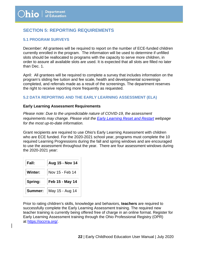# <span id="page-21-0"></span>**SECTION 5: REPORTING REQUIREMENTS**

#### <span id="page-21-1"></span>**5.1 PROGRAM SURVEYS**

December: All grantees will be required to report on the number of ECE-funded children currently enrolled in the program. The information will be used to determine if unfilled slots should be reallocated to programs with the capacity to serve more children, in order to assure all available slots are used. It is expected that all slots are filled no later than Dec. 1.

April: All grantees will be required to complete a survey that includes information on the program's sliding fee tuition and fee scale, health and developmental screenings completed, and referrals made as a result of the screenings. The department reserves the right to receive reporting more frequently as requested.

#### <span id="page-21-2"></span>**5.2 DATA REPORTING AND THE EARLY LEARNING ASSESSMENT (ELA)**

#### **Early Learning Assessment Requirements**

*Please note: Due to the unpredictable nature of COVID-19, the assessment requirements may change. Please visit the [Early Learning Reset and Restart](http://education.ohio.gov/Topics/Reset-and-Restart/Early-Learning-and-School-Readiness) webpage for the most up-to-date information.*

Grant recipients are required to use Ohio's Early Learning Assessment with children who are ECE funded. For the 2020-2021 school year, programs must complete the 10 required Learning Progressions during the fall and spring windows and are encouraged to use the assessment throughout the year. There are four assessment windows during the 2020-2021 year:

| Fall:   | Aug 15 - Nov 14 |
|---------|-----------------|
| Winter: | Nov 15 - Feb 14 |
|         |                 |
| Spring: | Feb 15 - May 14 |

Prior to rating children's skills, knowledge and behaviors, **teachers** are required to successfully complete the Early Learning Assessment training. The required new teacher training is currently being offered free of charge in an online format. Register for Early Learning Assessment training through the Ohio Professional Registry (OPR) at [https://occrra.org/.](https://occrra.org/)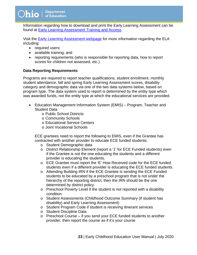Information regarding how to download and print the Early Learning Assessment can be found at [Early Learning Assessment Training and Access.](http://education.ohio.gov/getattachment/Topics/Early-Learning/Kindergarten/Early-Learning-Assessment/Early-Learning-Assessment-for-Administrators/Access-Early-Learning-Assessment-Print-Materials_9-17-1.pdf.aspx)

Visit the [Early Learning Assessment webpage](http://education.ohio.gov/Topics/Early-Learning/Kindergarten/Early-Learning-Assessment) for more information regarding the ELA including:

- required users;
- available training; and
- reporting requirements (who is responsible for reporting data, how to report scores for children not assessed, etc.)

#### **Data Reporting Requirements**

Programs are required to report teacher qualifications, student enrollment, monthly student attendance, fall and spring Early Learning Assessment scores, disability category and demographic data via one of the two data systems below, based on program type. The data system used to report is determined by the entity type which was awarded funds, not the entity type at which the educational services are provided.

- Education Management Information System (EMIS) Program, Teacher and Student Data
	- o Public School Districts
	- o Community Schools
	- o Educational Service Centers
	- o Joint Vocational Schools

ECE grantees need to report the following to EMIS, even if the Grantee has contracted with another provider to educate ECE funded students:

- o Student Demographic data
- o District Relationship Element (report a '1' for ECE Funded students) even if the Grantee is not the one educating the students and a different provider is educating the students.
- o ECE Grantee must report the 'E' How Received code for the ECE funded students even if a different provider is educating the ECE funded students.
- o Attending Building IRN if the ECE Grantee is sending the ECE Funded students to be educated by a preschool program that is not under the hierarchy of the reporting district, then the IRN should be the one determined by district policy.
- o Preschool Poverty Level if the student is not reported with a disability condition
- o Student Assessments (Childhood Outcome Summary (if student has disability) and Early Learning Assessment)
- o Student Program Code if student is receiving itinerant services
- o Student Discipline Data
- o Preschool Course if you send your ECE funded students to another provider, then report the course as if it's your course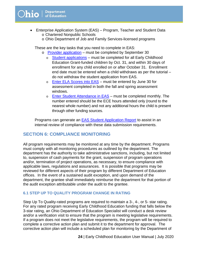- Enterprise Application System (EAS) Program, Teacher and Student Data o Chartered Nonpublic Schools
	- o Ohio Department of Job and Family Services-licensed programs

These are the key tasks that you need to complete in EAS:

- o [Provider application](https://education.ohio.gov/getattachment/Topics/Early-Learning/Early-Childhood-Education-Grant/Early-Childhood-Education-Grants-for-Administrator/easproviderapptutorial-FY20-3.pdf.aspx?lang=en-US) must be completed by September 30
	- o [Student applications](https://education.ohio.gov/getattachment/Topics/Early-Learning/Early-Childhood-Education-Grant/Early-Childhood-Education-Grants-for-Administrator/easstudentapptutorial-FY20-2.pdf.aspx?lang=en-US) must be completed for all Early Childhood Education Grant-funded children by Oct. 31, and within 30 days of enrollment for any child enrolled on or after October 31. Enrollment end date must be entered when a child withdraws as per the tutorial – do not withdraw the student application from EAS.
	- o [Enter ELA Scores into EAS](https://education.ohio.gov/getattachment/Topics/Early-Learning/Early-Childhood-Education-Grant/Early-Childhood-Education-Grants-for-Administrator/howtoenterelascoresineas-FY20-3.pdf.aspx?lang=en-US) must be entered by June 30 for assessment completed in both the fall and spring assessment windows.
	- o [Enter Student Attendance in EAS](https://education.ohio.gov/getattachment/Topics/Early-Learning/Early-Childhood-Education-Grant/Early-Childhood-Education-Grants-for-Administrator/howtoenterattendanceineas-FY20-5.pdf.aspx?lang=en-US) must be completed monthly. The number entered should be the ECE hours attended only (round to the nearest whole number) and not any additional hours the child is present through other funding sources.

<span id="page-23-0"></span>Programs can generate an **EAS Student Application Report** to assist in an internal review of compliance with these data submission requirements.

# **SECTION 6: COMPLIANCE MONITORING**

All program requirements may be monitored at any time by the department. Programs must comply with all monitoring procedures as outlined by the department. The department has the authority to take administrative sanctions, including, but not limited to, suspension of cash payments for the grant, suspension of program operations and/or, termination of project operations, as necessary, to ensure compliance with applicable laws, regulations and assurances. It is possible that programs may be reviewed for different aspects of their program by different Department of Education offices. In the event of a sustained audit exception, and upon demand of the department, the grantee shall immediately reimburse the department for that portion of the audit exception attributable under the audit to the grantee.

#### <span id="page-23-1"></span>**6.1 STEP UP TO QUALITY PROGRAM CHANGE IN RATING**

Step Up To Quality-rated programs are required to maintain a 3-, 4-, or 5- star rating. For any rated program receiving Early Childhood Education funding that falls below the 3-star rating, an Ohio Department of Education Specialist will conduct a desk review and/or a verification visit to ensure that the program is meeting legislative requirements. If a program does not meet the legislative requirements, the program will be required to complete a corrective action plan and submit it to the department for approval. The corrective action plan will include a scheduled plan for monitoring by the Department of

 **24** | Early Childhood Education User Manual | July 2020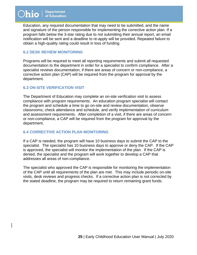Education, any required documentation that may need to be submitted, and the name and signature of the person responsible for implementing the corrective action plan. If a program falls below the 3-star rating due to not submitting their annual report, an email notification will be sent and a deadline to re-apply will be provided. Repeated failure to obtain a high-quality rating could result in loss of funding.

#### <span id="page-24-0"></span>**6.2 DESK REVIEW MONITORING**

Programs will be required to meet all reporting requirements and submit all requested documentation to the department in order for a specialist to confirm compliance. After a specialist reviews documentation, if there are areas of concern or non-compliance, a corrective action plan (CAP) will be required from the program for approval by the department.

#### <span id="page-24-1"></span>**6.3 ON-SITE VERIFICATION VISIT**

The Department of Education may complete an on-site verification visit to assess compliance with program requirements. An education program specialist will contact the program and schedule a time to go on-site and review documentation, observe classrooms, check attendance and schedule, and verify implementation of curriculum and assessment requirements. After completion of a visit, if there are areas of concern or non-compliance, a CAP will be required from the program for approval by the department.

#### <span id="page-24-2"></span>**6.4 CORRECTIVE ACTION PLAN MONITORING**

If a CAP is needed, the program will have 10 business days to submit the CAP to the specialist. The specialist has 10 business days to approve or deny the CAP. If the CAP is approved, the specialist will monitor the implementation of the plan. If the CAP is denied, the specialist and the program will work together to develop a CAP that addresses all areas of non-compliance.

<span id="page-24-3"></span>The specialist who approved the CAP is responsible for monitoring the implementation of the CAP until all requirements of the plan are met. This may include periodic on-site visits, desk reviews and progress checks. If a corrective action plan is not corrected by the stated deadline, the program may be required to return remaining grant funds.